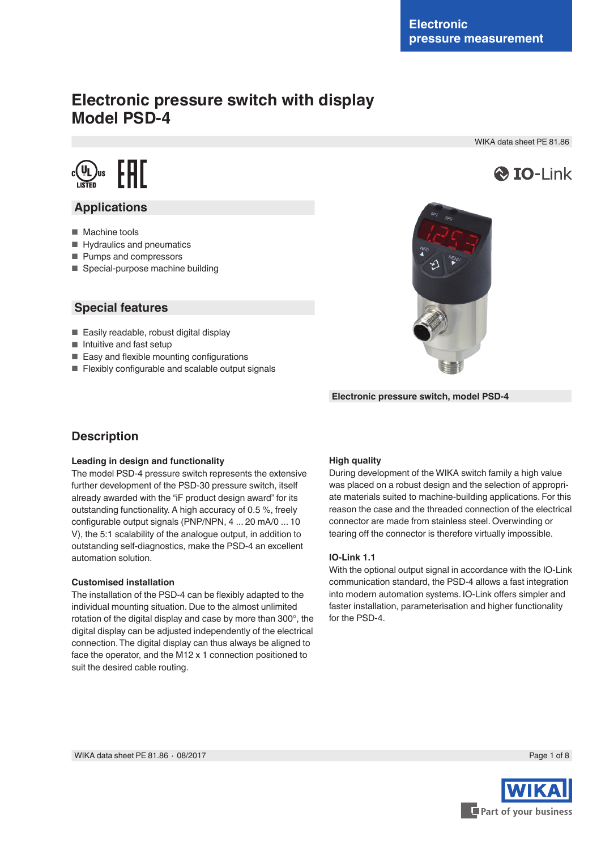# **Electronic pressure switch with display Model PSD-4**

WIKA data sheet PE 81.86





## **Applications**

- Machine tools
- Hydraulics and pneumatics
- Pumps and compressors
- Special-purpose machine building

### **Special features**

- Easily readable, robust digital display
- Intuitive and fast setup
- Easy and flexible mounting configurations
- Flexibly configurable and scalable output signals



**Electronic pressure switch, model PSD-4**

# **Description**

### **Leading in design and functionality**

The model PSD-4 pressure switch represents the extensive further development of the PSD-30 pressure switch, itself already awarded with the "iF product design award" for its outstanding functionality. A high accuracy of 0.5 %, freely configurable output signals (PNP/NPN, 4 ... 20 mA/0 ... 10 V), the 5:1 scalability of the analogue output, in addition to outstanding self-diagnostics, make the PSD-4 an excellent automation solution.

### **Customised installation**

The installation of the PSD-4 can be flexibly adapted to the individual mounting situation. Due to the almost unlimited rotation of the digital display and case by more than 300°, the digital display can be adjusted independently of the electrical connection. The digital display can thus always be aligned to face the operator, and the M12 x 1 connection positioned to suit the desired cable routing.

### **High quality**

During development of the WIKA switch family a high value was placed on a robust design and the selection of appropriate materials suited to machine-building applications. For this reason the case and the threaded connection of the electrical connector are made from stainless steel. Overwinding or tearing off the connector is therefore virtually impossible.

### **IO-Link 1.1**

With the optional output signal in accordance with the IO-Link communication standard, the PSD-4 allows a fast integration into modern automation systems. IO-Link offers simpler and faster installation, parameterisation and higher functionality for the PSD-4.

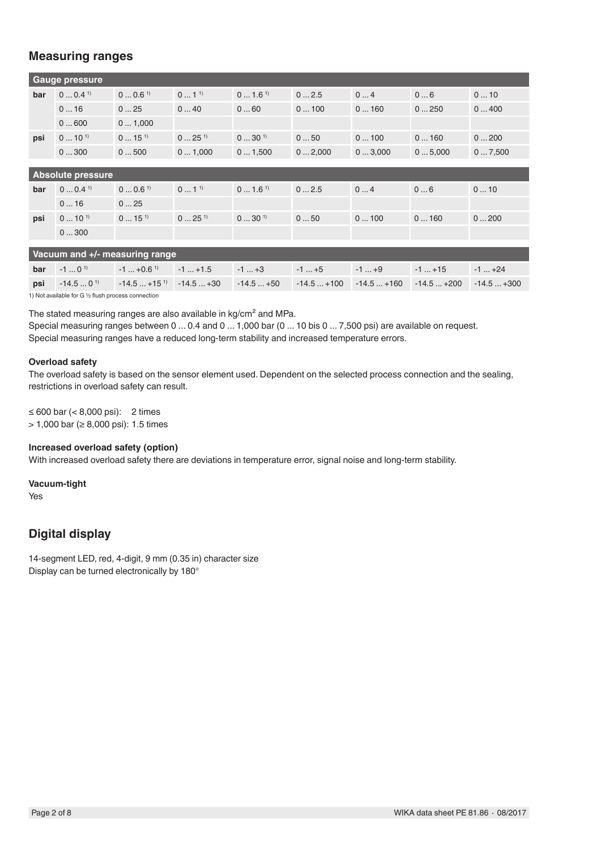# **Measuring ranges**

| <b>Gauge pressure</b> |                             |                      |                  |                      |        |        |        |        |
|-----------------------|-----------------------------|----------------------|------------------|----------------------|--------|--------|--------|--------|
| bar                   | $0 \dots 0.4^{1}$           | $00.6$ <sup>1)</sup> | $01^{1}$         | $01.6$ <sup>1)</sup> | 02.5   | 04     | 06     | 010    |
|                       | 016                         | 025                  | 040              | 060                  | 0100   | 0160   | 0250   | 0400   |
|                       | 0600                        | 01,000               |                  |                      |        |        |        |        |
| psi                   | $0 \dots 10^{1}$            | $015^{1}$            | $0 \dots 25^{1}$ | $030^{1}$            | 050    | 0100   | 0160   | 0200   |
|                       | 0300                        | 0500                 | 01,000           | 01,500               | 02,000 | 03,000 | 05,000 | 07,500 |
|                       |                             |                      |                  |                      |        |        |        |        |
|                       | <b>Absolute pressure</b>    |                      |                  |                      |        |        |        |        |
| bar                   | $0 \dots 0.4$ <sup>1)</sup> | $00.6$ <sup>1)</sup> | $01^{1}$         | $01.6$ <sup>1)</sup> | 02.5   | 04     | 06     | 010    |
|                       | 016                         | 025                  |                  |                      |        |        |        |        |
| psi                   | $0 \dots 10^{1}$            | $015^{1}$            | $025^{1}$        | $030^{1}$            | 050    | 0100   | 0160   | 0200   |
|                       | 0300                        |                      |                  |                      |        |        |        |        |
|                       |                             |                      |                  |                      |        |        |        |        |

| Vacuum and +/- measuring range                      |                  |  |                                                                                                                               |  |        |        |               |  |
|-----------------------------------------------------|------------------|--|-------------------------------------------------------------------------------------------------------------------------------|--|--------|--------|---------------|--|
| bar                                                 | $-1 \dots 0^{1}$ |  | $-1 \dots +0.6^{1}$ $-1 \dots +1.5$ $-1 \dots +3$                                                                             |  | $-1+5$ | $-1+9$ | $1+15$ $1+24$ |  |
|                                                     |                  |  | <b>psi</b> $-14.50^{\text{ }10}$ $-14.5+15^{\text{ }0}$ $-14.5+30$ $-14.5+50$ $-14.5+100$ $-14.5+160$ $-14.5+200$ $-14.5+300$ |  |        |        |               |  |
| 1) Not available for G 1/2 flush process connection |                  |  |                                                                                                                               |  |        |        |               |  |

The stated measuring ranges are also available in kg/cm<sup>2</sup> and MPa.

Special measuring ranges between 0 ... 0.4 and 0 ... 1,000 bar (0 ... 10 bis 0 ... 7,500 psi) are available on request. Special measuring ranges have a reduced long-term stability and increased temperature errors.

### **Overload safety**

The overload safety is based on the sensor element used. Dependent on the selected process connection and the sealing, restrictions in overload safety can result.

≤ 600 bar (< 8,000 psi): 2 times

> 1,000 bar (≥ 8,000 psi): 1.5 times

### **Increased overload safety (option)**

With increased overload safety there are deviations in temperature error, signal noise and long-term stability.

**Vacuum-tight**

Yes

# **Digital display**

14-segment LED, red, 4-digit, 9 mm (0.35 in) character size Display can be turned electronically by 180°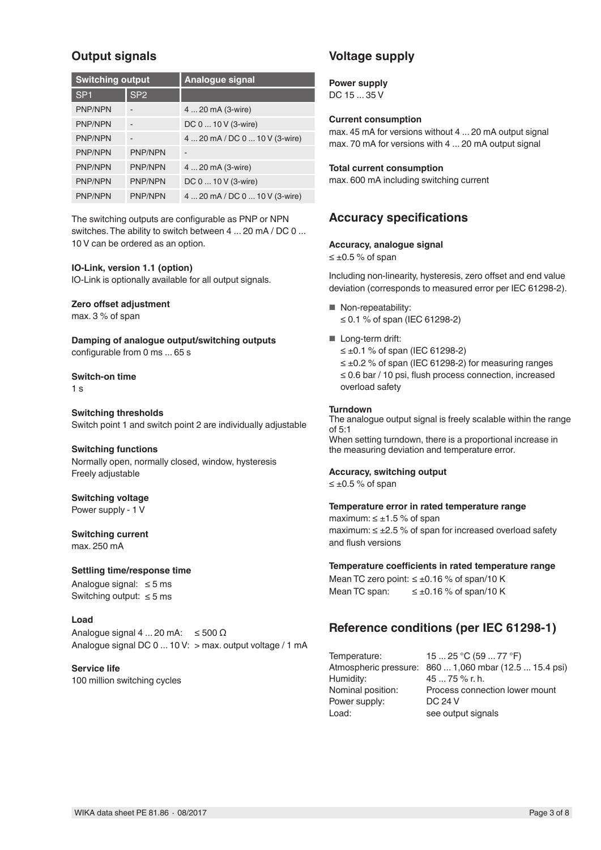# **Output signals**

| <b>Switching output</b> |                          | <b>Analogue signal</b>         |
|-------------------------|--------------------------|--------------------------------|
| SP <sub>1</sub>         | SP <sub>2</sub>          |                                |
| <b>PNP/NPN</b>          | $\qquad \qquad$          | 4  20 mA (3-wire)              |
| <b>PNP/NPN</b>          | $\overline{\phantom{a}}$ | DC 0  10 V (3-wire)            |
| <b>PNP/NPN</b>          | $\overline{\phantom{0}}$ | 4  20 mA / DC 0  10 V (3-wire) |
| <b>PNP/NPN</b>          | <b>PNP/NPN</b>           |                                |
| <b>PNP/NPN</b>          | <b>PNP/NPN</b>           | 4  20 mA (3-wire)              |
| <b>PNP/NPN</b>          | <b>PNP/NPN</b>           | DC 0  10 V (3-wire)            |
| <b>PNP/NPN</b>          | <b>PNP/NPN</b>           | 4  20 mA / DC 0  10 V (3-wire) |

The switching outputs are configurable as PNP or NPN switches. The ability to switch between 4 ... 20 mA / DC 0 ... 10 V can be ordered as an option.

### **IO-Link, version 1.1 (option)**

IO-Link is optionally available for all output signals.

### **Zero offset adjustment**

max. 3 % of span

**Damping of analogue output/switching outputs** configurable from 0 ms ... 65 s

#### **Switch-on time**

1 s

**Switching thresholds** Switch point 1 and switch point 2 are individually adjustable

### **Switching functions**

Normally open, normally closed, window, hysteresis Freely adjustable

# **Switching voltage**

Power supply - 1 V

### **Switching current** max. 250 mA

### **Settling time/response time**

Analogue signal: ≤ 5 ms Switching output: ≤ 5 ms

### **Load**

Analogue signal 4 ... 20 mA:  $\leq 500 \Omega$ Analogue signal DC 0 ... 10 V: > max. output voltage / 1 mA

### **Service life**

100 million switching cycles

# **Voltage supply**

**Power supply** DC 15 ... 35 V

### **Current consumption**

max. 45 mA for versions without 4 ... 20 mA output signal max. 70 mA for versions with 4 ... 20 mA output signal

### **Total current consumption**

max. 600 mA including switching current

### **Accuracy specifications**

### **Accuracy, analogue signal**

≤ ±0.5 % of span

Including non-linearity, hysteresis, zero offset and end value deviation (corresponds to measured error per IEC 61298-2).

- Non-repeatability: ≤ 0.1 % of span (IEC 61298-2)
- Long-term drift:

≤ ±0.1 % of span (IEC 61298-2) ≤ ±0.2 % of span (IEC 61298-2) for measuring ranges ≤ 0.6 bar / 10 psi, flush process connection, increased overload safety

### **Turndown**

The analogue output signal is freely scalable within the range of 5:1 When setting turndown, there is a proportional increase in the measuring deviation and temperature error.

### **Accuracy, switching output**

≤ ±0.5 % of span

#### **Temperature error in rated temperature range**

maximum:  $\leq \pm 1.5$  % of span maximum: ≤ ±2.5 % of span for increased overload safety and flush versions

### **Temperature coefficients in rated temperature range**

Mean TC zero point: ≤ ±0.16 % of span/10 K Mean TC span:  $\leq \pm 0.16$  % of span/10 K

### **Reference conditions (per IEC 61298-1)**

Humidity: 45 ... 75 % r. h. Power supply: Load: see output signals

Temperature: 15 ... 25 °C (59 ... 77 °F) Atmospheric pressure: 860 ... 1,060 mbar (12.5 ... 15.4 psi) Nominal position: Process connection lower mount<br>Power supply: DC 24 V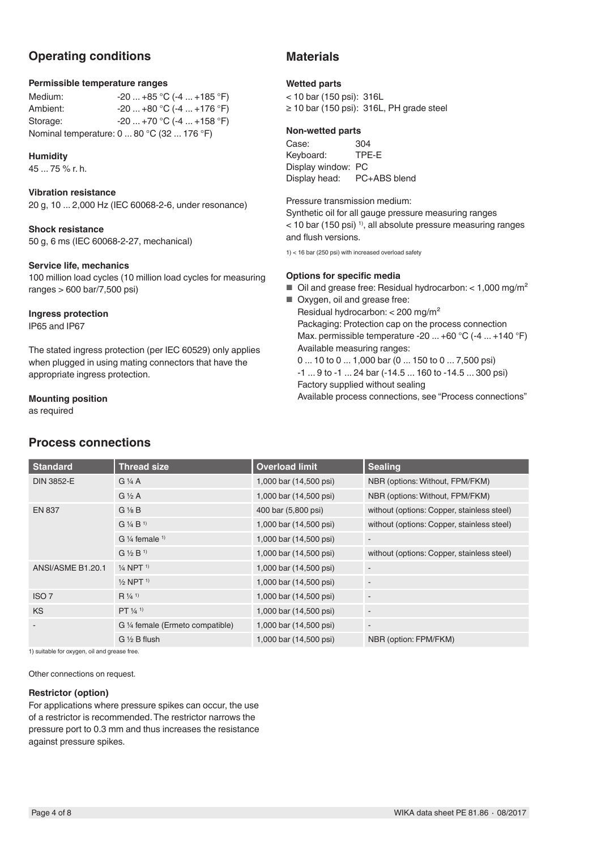# **Operating conditions**

### **Permissible temperature ranges**

Medium: -20 ... +85 °C (-4 ... +185 °F)<br>Ambient: -20 ... +80 °C (-4 ... +176 °F)  $-20$  ...  $+80$  °C (-4 ...  $+176$  °F) Storage: -20 ... +70 °C (-4 ... +158 °F) Nominal temperature: 0 ... 80 °C (32 ... 176 °F)

### **Humidity**

45 ... 75 % r. h.

### **Vibration resistance**

20 g, 10 ... 2,000 Hz (IEC 60068-2-6, under resonance)

### **Shock resistance**

50 g, 6 ms (IEC 60068-2-27, mechanical)

### **Service life, mechanics**

100 million load cycles (10 million load cycles for measuring ranges > 600 bar/7,500 psi)

### **Ingress protection**

IP65 and IP67

The stated ingress protection (per IEC 60529) only applies when plugged in using mating connectors that have the appropriate ingress protection.

### **Mounting position**

as required

# **Process connections**

### **Materials**

### **Wetted parts**

< 10 bar (150 psi): 316L ≥ 10 bar (150 psi): 316L, PH grade steel

### **Non-wetted parts**

Case: 304<br>Keyboard: TPE-E Keyboard: Display window: PC Display head: PC+ABS blend

Pressure transmission medium:

Synthetic oil for all gauge pressure measuring ranges  $<$  10 bar (150 psi)<sup>1)</sup>, all absolute pressure measuring ranges and flush versions.

1) < 16 bar (250 psi) with increased overload safety

### **Options for specific media**

- $\blacksquare$  Oil and grease free: Residual hydrocarbon: < 1,000 mg/m<sup>2</sup>
- Oxygen, oil and grease free: Residual hydrocarbon: < 200 mg/m² Packaging: Protection cap on the process connection Max. permissible temperature -20 ... +60 °C (-4 ... +140 °F) Available measuring ranges: 0 ... 10 to 0 ... 1,000 bar (0 ... 150 to 0 ... 7,500 psi)

-1 ... 9 to -1 ... 24 bar (-14.5 ... 160 to -14.5 ... 300 psi) Factory supplied without sealing

Available process connections, see "Process connections"

| <b>Standard</b>   | <b>Thread size</b>                   | <b>Overload limit</b>  | <b>Sealing</b>                             |
|-------------------|--------------------------------------|------------------------|--------------------------------------------|
| <b>DIN 3852-E</b> | $G\frac{1}{4}A$                      | 1,000 bar (14,500 psi) | NBR (options: Without, FPM/FKM)            |
|                   | $G \nless A$                         | 1,000 bar (14,500 psi) | NBR (options: Without, FPM/FKM)            |
| <b>EN 837</b>     | $G\frac{1}{8}B$                      | 400 bar (5,800 psi)    | without (options: Copper, stainless steel) |
|                   | $G$ 1/4 $B$ <sup>1)</sup>            | 1,000 bar (14,500 psi) | without (options: Copper, stainless steel) |
|                   | G $\frac{1}{4}$ female $\frac{1}{4}$ | 1,000 bar (14,500 psi) | $\overline{\phantom{a}}$                   |
|                   | $G\frac{1}{2}B^{1}$                  | 1,000 bar (14,500 psi) | without (options: Copper, stainless steel) |
| ANSI/ASME B1.20.1 | $\frac{1}{4}$ NPT <sup>1)</sup>      | 1,000 bar (14,500 psi) |                                            |
|                   | $\frac{1}{2}$ NPT <sup>1)</sup>      | 1,000 bar (14,500 psi) | $\overline{\phantom{a}}$                   |
| ISO <sub>7</sub>  | $R\frac{1}{4}$ <sup>1)</sup>         | 1,000 bar (14,500 psi) | $\overline{\phantom{a}}$                   |
| <b>KS</b>         | PT 1/4 1                             | 1,000 bar (14,500 psi) |                                            |
|                   | G 1/4 female (Ermeto compatible)     | 1,000 bar (14,500 psi) | $\overline{\phantom{a}}$                   |
|                   | $G \ntriangle B$ flush               | 1,000 bar (14,500 psi) | NBR (option: FPM/FKM)                      |

1) suitable for oxygen, oil and grease free.

Other connections on request.

### **Restrictor (option)**

For applications where pressure spikes can occur, the use of a restrictor is recommended. The restrictor narrows the pressure port to 0.3 mm and thus increases the resistance against pressure spikes.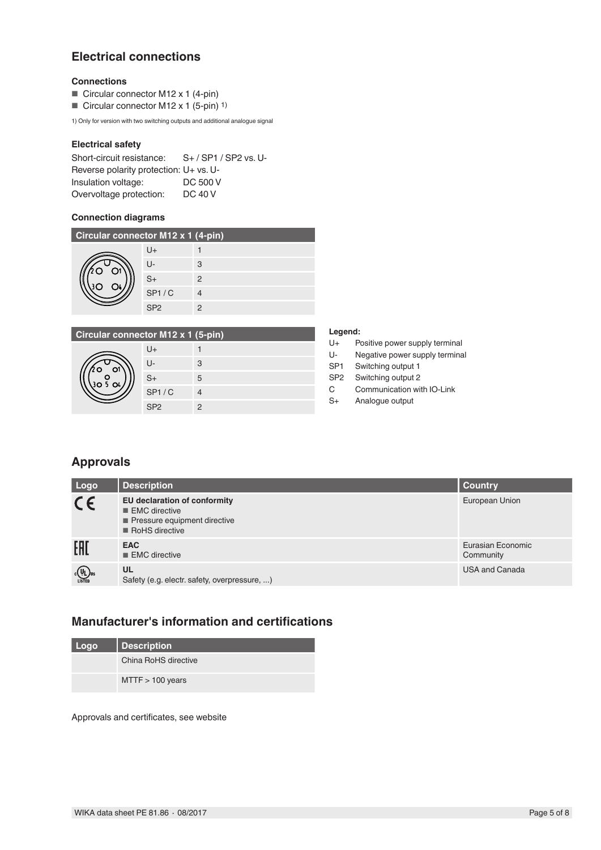# **Electrical connections**

### **Connections**

- Circular connector M12 x 1 (4-pin)
- Circular connector M12 x 1 (5-pin) <sup>1)</sup>

1) Only for version with two switching outputs and additional analogue signal

### **Electrical safety**

| Short-circuit resistance:              | S+ / SP1 / SP2 vs. U- |
|----------------------------------------|-----------------------|
| Reverse polarity protection: U+ vs. U- |                       |
| Insulation voltage:                    | DC 500 V              |
| Overvoltage protection:                | DC 40 V               |

### **Connection diagrams**

| Circular connector M12 x 1 (4-pin) |                 |   |  |  |
|------------------------------------|-----------------|---|--|--|
|                                    | U+              |   |  |  |
|                                    | $\mathsf{L}$    | 3 |  |  |
|                                    | $S+$            | 2 |  |  |
|                                    | SP1/C           |   |  |  |
|                                    | SP <sub>2</sub> |   |  |  |

# **Circular connector M12 x 1 (5-pin)**

| o<br>r<br>$\frac{0}{5}$ O4<br>۰ |
|---------------------------------|
|---------------------------------|

| עווען־טן ו א ∡וועו וטו |   |
|------------------------|---|
| U+                     |   |
| U-                     | 3 |
| $S+$                   | 5 |
| SP1/C                  | 4 |
| SP <sub>2</sub>        | 2 |

### **Legend:**

- U+ Positive power supply terminal
- U- Negative power supply terminal
- SP1 Switching output 1
- SP2 Switching output 2
- C Communication with IO-Link
- S+ Analogue output

# **Approvals**

| Logo                                                                                                                         | <b>Description</b>                                                                                                                   | <b>Country</b>                 |
|------------------------------------------------------------------------------------------------------------------------------|--------------------------------------------------------------------------------------------------------------------------------------|--------------------------------|
| CE                                                                                                                           | <b>EU declaration of conformity</b><br>$\blacksquare$ EMC directive<br>Pressure equipment directive<br>$\blacksquare$ RoHS directive | European Union                 |
| EAD                                                                                                                          | <b>EAC</b><br>$\blacksquare$ EMC directive                                                                                           | Eurasian Economic<br>Community |
| $c \left(\frac{\mathsf{U}_\text{L}}{\mathsf{U} \mathsf{S}^{\mathsf{T}} \mathsf{E} \mathsf{D}} \mathsf{U} \mathsf{S} \right)$ | <b>UL</b><br>Safety (e.g. electr. safety, overpressure, )                                                                            | <b>USA and Canada</b>          |

### **Manufacturer's information and certifications**

| Logo | <b>Description</b>   |
|------|----------------------|
|      | China RoHS directive |
|      | $MTTF > 100$ years   |

Approvals and certificates, see website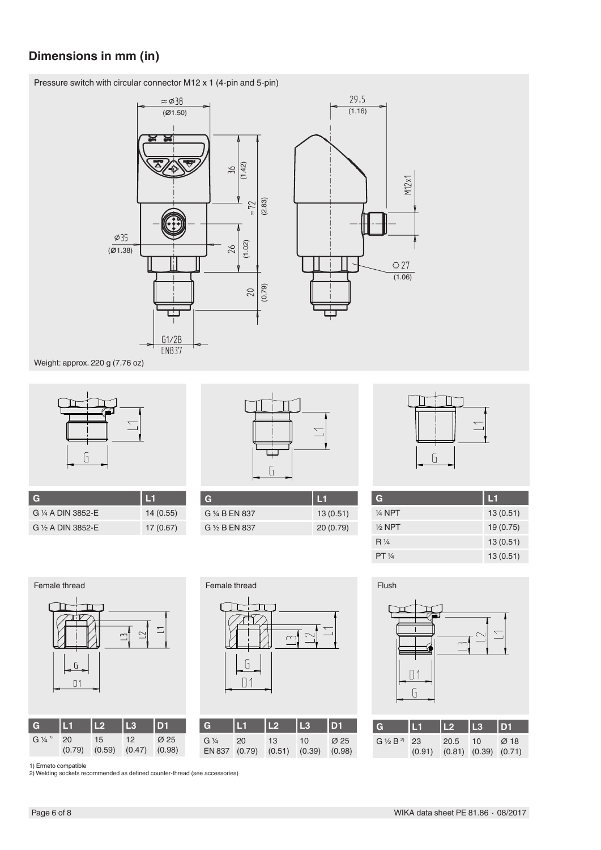# **Dimensions in mm (in)**

Pressure switch with circular connector M12 x 1 (4-pin and 5-pin)



Weight: approx. 220 g (7.76 oz)



| $\overline{\mathbf{G}}$      | l L1     |
|------------------------------|----------|
| G 1/4 A DIN 3852-F           | 14(0.55) |
| G $\frac{1}{2}$ A DIN 3852-E | 17(0.67) |



| G              | 1 L 1    |
|----------------|----------|
| G 1/4 B EN 837 | 13(0.51) |
| G 1/2 B EN 837 | 20(0.79) |



| G              | И        |
|----------------|----------|
| 1⁄4 NPT        | 13(0.51) |
| $1/2$ NPT      | 19(0.75) |
| $R\frac{1}{4}$ | 13(0.51) |
| PT 1/4         | 13(0.51) |



| ∼ | Female thread | Flush |
|---|---------------|-------|
|   |               |       |

| G                             | IL 1 | L2 | L3                                        | D <sub>1</sub>   | G              | l T                                      | <b>TL2</b> | L3 | D1               |
|-------------------------------|------|----|-------------------------------------------|------------------|----------------|------------------------------------------|------------|----|------------------|
| $G \frac{1}{4}$ <sup>1)</sup> | 20   | 15 | 12<br>$(0.79)$ $(0.59)$ $(0.47)$ $(0.98)$ | $\varnothing$ 25 | $G\frac{1}{4}$ | 20<br>EN 837 (0.79) (0.51) (0.39) (0.98) | 13         | 10 | $\varnothing$ 25 |

 $\overline{a}$  $\sim$  $D<sub>1</sub>$  $\overline{G}$ **G L1 L2 L3 D1**  $G \frac{1}{2} B^{2}$  23 ∅ 18 20.5 10 (0.91) (0.81) (0.39) (0.71)

1) Ermeto compatible 2) Welding sockets recommended as defined counter-thread (see accessories)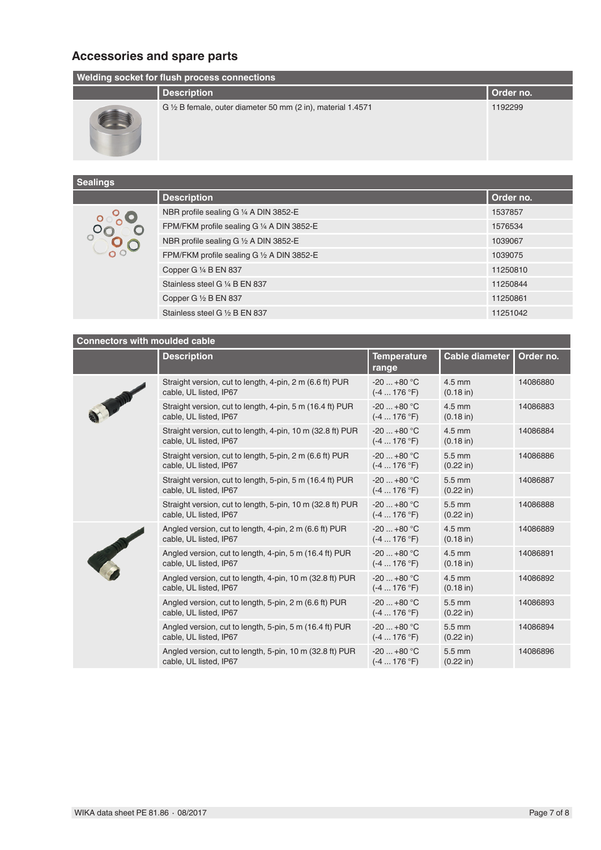# **Accessories and spare parts**

| <b>Welding socket for flush process connections</b> |                                                                        |           |  |  |
|-----------------------------------------------------|------------------------------------------------------------------------|-----------|--|--|
|                                                     | <b>Description</b>                                                     | Order no. |  |  |
|                                                     | G $\frac{1}{2}$ B female, outer diameter 50 mm (2 in), material 1.4571 | 1192299   |  |  |

| <b>Sealings</b> |  |
|-----------------|--|
|                 |  |

| $\sim$ $\sim$ $\sim$ $\sim$ $\sim$ |                                            |           |
|------------------------------------|--------------------------------------------|-----------|
|                                    | <b>Description</b>                         | Order no. |
|                                    | NBR profile sealing G 1/4 A DIN 3852-E     | 1537857   |
|                                    | FPM/FKM profile sealing G 1/4 A DIN 3852-E | 1576534   |
|                                    | NBR profile sealing G 1/2 A DIN 3852-E     | 1039067   |
|                                    | FPM/FKM profile sealing G 1/2 A DIN 3852-E | 1039075   |
|                                    | Copper G 1/4 B EN 837                      | 11250810  |
|                                    | Stainless steel G 1/4 B EN 837             | 11250844  |
|                                    | Copper G 1/2 B EN 837                      | 11250861  |
|                                    | Stainless steel G 1/2 B EN 837             | 11251042  |

# **Connectors with moulded cable**

|  | <b>Description</b>                                                                   | <b>Temperature</b><br>range | <b>Cable diameter</b>                   | Order no. |
|--|--------------------------------------------------------------------------------------|-----------------------------|-----------------------------------------|-----------|
|  | Straight version, cut to length, 4-pin, 2 m (6.6 ft) PUR<br>cable, UL listed, IP67   | $-20+80$ °C<br>$(-4176 °F)$ | $4.5$ mm<br>$(0.18$ in)                 | 14086880  |
|  | Straight version, cut to length, 4-pin, 5 m (16.4 ft) PUR<br>cable, UL listed, IP67  | $-20+80 °C$<br>$(-4176 °F)$ | $4.5$ mm<br>$(0.18 \text{ in})$         | 14086883  |
|  | Straight version, cut to length, 4-pin, 10 m (32.8 ft) PUR<br>cable, UL listed, IP67 | $-20+80 °C$<br>$(-4176 °F)$ | $4.5$ mm<br>$(0.18 \text{ in})$         | 14086884  |
|  | Straight version, cut to length, 5-pin, 2 m (6.6 ft) PUR<br>cable, UL listed, IP67   | $-20+80 °C$<br>$(-4176 °F)$ | $5.5 \text{ mm}$<br>$(0.22 \text{ in})$ | 14086886  |
|  | Straight version, cut to length, 5-pin, 5 m (16.4 ft) PUR<br>cable, UL listed, IP67  | $-20+80 °C$<br>$(-4176 °F)$ | $5.5 \text{ mm}$<br>$(0.22 \text{ in})$ | 14086887  |
|  | Straight version, cut to length, 5-pin, 10 m (32.8 ft) PUR<br>cable, UL listed, IP67 | $-20+80$ °C<br>$(-4176 °F)$ | 5.5 mm<br>$(0.22 \text{ in})$           | 14086888  |
|  | Angled version, cut to length, 4-pin, 2 m (6.6 ft) PUR<br>cable, UL listed, IP67     | $-20+80$ °C<br>$(-4176 °F)$ | $4.5$ mm<br>$(0.18 \text{ in})$         | 14086889  |
|  | Angled version, cut to length, 4-pin, 5 m (16.4 ft) PUR<br>cable, UL listed, IP67    | $-20+80 °C$<br>$(-4176 °F)$ | $4.5$ mm<br>$(0.18 \text{ in})$         | 14086891  |
|  | Angled version, cut to length, 4-pin, 10 m (32.8 ft) PUR<br>cable, UL listed, IP67   | $-20+80 °C$<br>$(-4176 °F)$ | $4.5$ mm<br>$(0.18 \text{ in})$         | 14086892  |
|  | Angled version, cut to length, 5-pin, 2 m (6.6 ft) PUR<br>cable, UL listed, IP67     | $-20+80$ °C<br>$(-4176 °F)$ | $5.5 \text{ mm}$<br>$(0.22 \text{ in})$ | 14086893  |
|  | Angled version, cut to length, 5-pin, 5 m (16.4 ft) PUR<br>cable, UL listed, IP67    | $-20+80 °C$<br>$(-4176 °F)$ | $5.5 \text{ mm}$<br>$(0.22 \text{ in})$ | 14086894  |
|  | Angled version, cut to length, 5-pin, 10 m (32.8 ft) PUR<br>cable, UL listed, IP67   | $-20+80 °C$<br>$(-4176 °F)$ | $5.5 \text{ mm}$<br>$(0.22 \text{ in})$ | 14086896  |